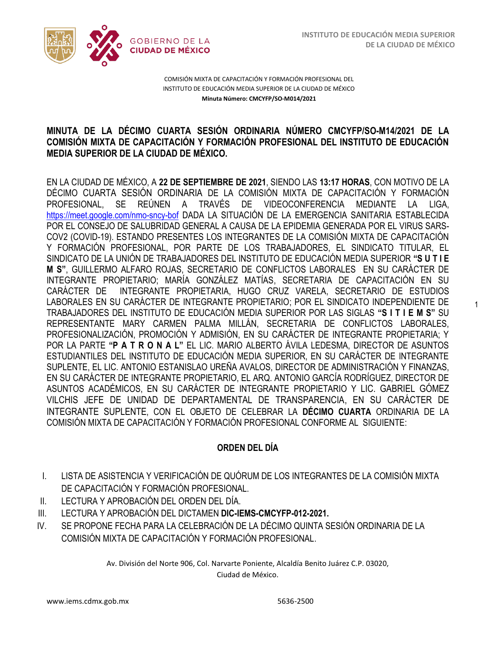1



COMISIÓN MIXTA DE CAPACITACIÓN Y FORMACIÓN PROFESIONAL DEL INSTITUTO DE EDUCACIÓN MEDIA SUPERIOR DE LA CIUDAD DE MÉXICO **Minuta Número: CMCYFP/SO-M014/2021**

# /2020 **MINUTA DE LA DÉCIMO CUARTA SESIÓN ORDINARIA NÚMERO CMCYFP/SO-M14/2021 DE LA COMISIÓN MIXTA DE CAPACITACIÓN Y FORMACIÓN PROFESIONAL DEL INSTITUTO DE EDUCACIÓN MEDIA SUPERIOR DE LA CIUDAD DE MÉXICO.**

EN LA CIUDAD DE MÉXICO, A **22 DE SEPTIEMBRE DE 2021**, SIENDO LAS **13:17 HORAS**, CON MOTIVO DE LA DÉCIMO CUARTA SESIÓN ORDINARIA DE LA COMISIÓN MIXTA DE CAPACITACIÓN Y FORMACIÓN PROFESIONAL, SE REÚNEN A TRAVÉS DE VIDEOCONFERENCIA MEDIANTE LA LIGA, <https://meet.google.com/nmo-sncy-bof> DADA LA SITUACIÓN DE LA EMERGENCIA SANITARIA ESTABLECIDA POR EL CONSEJO DE SALUBRIDAD GENERAL A CAUSA DE LA EPIDEMIA GENERADA POR EL VIRUS SARS-COV2 (COVID-19). ESTANDO PRESENTES LOS INTEGRANTES DE LA COMISIÓN MIXTA DE CAPACITACIÓN Y FORMACIÓN PROFESIONAL, POR PARTE DE LOS TRABAJADORES, EL SINDICATO TITULAR, EL SINDICATO DE LA UNIÓN DE TRABAJADORES DEL INSTITUTO DE EDUCACIÓN MEDIA SUPERIOR **"S U T I E M S"**, GUILLERMO ALFARO ROJAS, SECRETARIO DE CONFLICTOS LABORALES EN SU CARÁCTER DE INTEGRANTE PROPIETARIO; MARÍA GONZÁLEZ MATÍAS, SECRETARIA DE CAPACITACIÓN EN SU CARÁCTER DE INTEGRANTE PROPIETARIA, HUGO CRUZ VARELA, SECRETARIO DE ESTUDIOS LABORALES EN SU CARÁCTER DE INTEGRANTE PROPIETARIO; POR EL SINDICATO INDEPENDIENTE DE TRABAJADORES DEL INSTITUTO DE EDUCACIÓN MEDIA SUPERIOR POR LAS SIGLAS **"S I T I E M S"** SU REPRESENTANTE MARY CARMEN PALMA MILLÁN, SECRETARIA DE CONFLICTOS LABORALES, PROFESIONALIZACIÓN, PROMOCIÓN Y ADMISIÓN, EN SU CARÁCTER DE INTEGRANTE PROPIETARIA; Y POR LA PARTE **"P A T R O N A L"** EL LIC. MARIO ALBERTO ÁVILA LEDESMA, DIRECTOR DE ASUNTOS ESTUDIANTILES DEL INSTITUTO DE EDUCACIÓN MEDIA SUPERIOR, EN SU CARÁCTER DE INTEGRANTE SUPLENTE, EL LIC. ANTONIO ESTANISLAO UREÑA AVALOS, DIRECTOR DE ADMINISTRACIÓN Y FINANZAS, EN SU CARÁCTER DE INTEGRANTE PROPIETARIO, EL ARQ. ANTONIO GARCÍA RODRÍGUEZ, DIRECTOR DE ASUNTOS ACADÉMICOS, EN SU CARÁCTER DE INTEGRANTE PROPIETARIO Y LIC. GABRIEL GÓMEZ VILCHIS JEFE DE UNIDAD DE DEPARTAMENTAL DE TRANSPARENCIA, EN SU CARÁCTER DE INTEGRANTE SUPLENTE, CON EL OBJETO DE CELEBRAR LA **DÉCIMO CUARTA** ORDINARIA DE LA COMISIÓN MIXTA DE CAPACITACIÓN Y FORMACIÓN PROFESIONAL CONFORME AL SIGUIENTE:

# **ORDEN DEL DÍA**

- I. LISTA DE ASISTENCIA Y VERIFICACIÓN DE QUÓRUM DE LOS INTEGRANTES DE LA COMISIÓN MIXTA DE CAPACITACIÓN Y FORMACIÓN PROFESIONAL.
- II. LECTURA Y APROBACIÓN DEL ORDEN DEL DÍA.
- III. LECTURA Y APROBACIÓN DEL DICTAMEN **DIC-IEMS-CMCYFP-012-2021.**
- IV. SE PROPONE FECHA PARA LA CELEBRACIÓN DE LA DÉCIMO QUINTA SESIÓN ORDINARIA DE LA COMISIÓN MIXTA DE CAPACITACIÓN Y FORMACIÓN PROFESIONAL.

Av. División del Norte 906, Col. Narvarte Poniente, Alcaldía Benito Juárez C.P. 03020, Ciudad de México.

www.iems.cdmx.gob.mx 5636-2500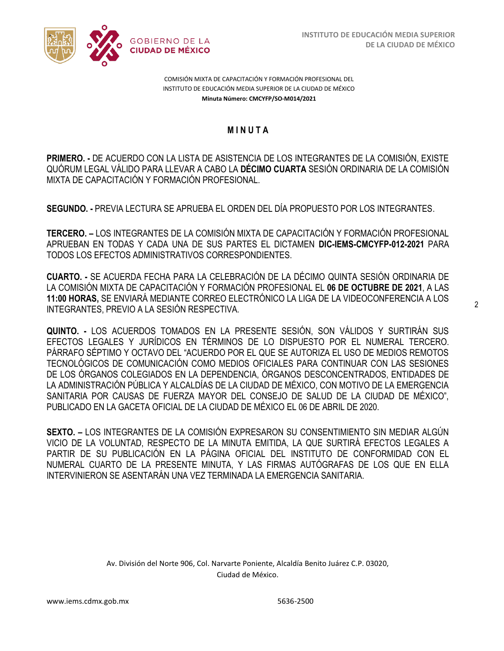

COMISIÓN MIXTA DE CAPACITACIÓN Y FORMACIÓN PROFESIONAL DEL INSTITUTO DE EDUCACIÓN MEDIA SUPERIOR DE LA CIUDAD DE MÉXICO **Minuta Número: CMCYFP/SO-M014/2021**

# /2020 **M I N U T A**

**PRIMERO. -** DE ACUERDO CON LA LISTA DE ASISTENCIA DE LOS INTEGRANTES DE LA COMISIÓN, EXISTE QUÓRUM LEGAL VÁLIDO PARA LLEVAR A CABO LA **DÉCIMO CUARTA** SESIÓN ORDINARIA DE LA COMISIÓN MIXTA DE CAPACITACIÓN Y FORMACIÓN PROFESIONAL.

**SEGUNDO. -** PREVIA LECTURA SE APRUEBA EL ORDEN DEL DÍA PROPUESTO POR LOS INTEGRANTES.

**TERCERO. –** LOS INTEGRANTES DE LA COMISIÓN MIXTA DE CAPACITACIÓN Y FORMACIÓN PROFESIONAL APRUEBAN EN TODAS Y CADA UNA DE SUS PARTES EL DICTAMEN **DIC-IEMS-CMCYFP-012-2021** PARA TODOS LOS EFECTOS ADMINISTRATIVOS CORRESPONDIENTES.

**CUARTO. -** SE ACUERDA FECHA PARA LA CELEBRACIÓN DE LA DÉCIMO QUINTA SESIÓN ORDINARIA DE LA COMISIÓN MIXTA DE CAPACITACIÓN Y FORMACIÓN PROFESIONAL EL **06 DE OCTUBRE DE 2021**, A LAS **11:00 HORAS,** SE ENVIARÁ MEDIANTE CORREO ELECTRÓNICO LA LIGA DE LA VIDEOCONFERENCIA A LOS INTEGRANTES, PREVIO A LA SESIÓN RESPECTIVA.

**QUINTO. -** LOS ACUERDOS TOMADOS EN LA PRESENTE SESIÓN, SON VÁLIDOS Y SURTIRÁN SUS EFECTOS LEGALES Y JURÍDICOS EN TÉRMINOS DE LO DISPUESTO POR EL NUMERAL TERCERO. PÁRRAFO SÉPTIMO Y OCTAVO DEL "ACUERDO POR EL QUE SE AUTORIZA EL USO DE MEDIOS REMOTOS TECNOLÓGICOS DE COMUNICACIÓN COMO MEDIOS OFICIALES PARA CONTINUAR CON LAS SESIONES DE LOS ÓRGANOS COLEGIADOS EN LA DEPENDENCIA, ÓRGANOS DESCONCENTRADOS, ENTIDADES DE LA ADMINISTRACIÓN PÚBLICA Y ALCALDÍAS DE LA CIUDAD DE MÉXICO, CON MOTIVO DE LA EMERGENCIA SANITARIA POR CAUSAS DE FUERZA MAYOR DEL CONSEJO DE SALUD DE LA CIUDAD DE MÉXICO", PUBLICADO EN LA GACETA OFICIAL DE LA CIUDAD DE MÉXICO EL 06 DE ABRIL DE 2020.

**SEXTO. –** LOS INTEGRANTES DE LA COMISIÓN EXPRESARON SU CONSENTIMIENTO SIN MEDIAR ALGÚN VICIO DE LA VOLUNTAD, RESPECTO DE LA MINUTA EMITIDA, LA QUE SURTIRÁ EFECTOS LEGALES A PARTIR DE SU PUBLICACIÓN EN LA PÁGINA OFICIAL DEL INSTITUTO DE CONFORMIDAD CON EL NUMERAL CUARTO DE LA PRESENTE MINUTA, Y LAS FIRMAS AUTÓGRAFAS DE LOS QUE EN ELLA INTERVINIERON SE ASENTARÁN UNA VEZ TERMINADA LA EMERGENCIA SANITARIA.

> Av. División del Norte 906, Col. Narvarte Poniente, Alcaldía Benito Juárez C.P. 03020, Ciudad de México.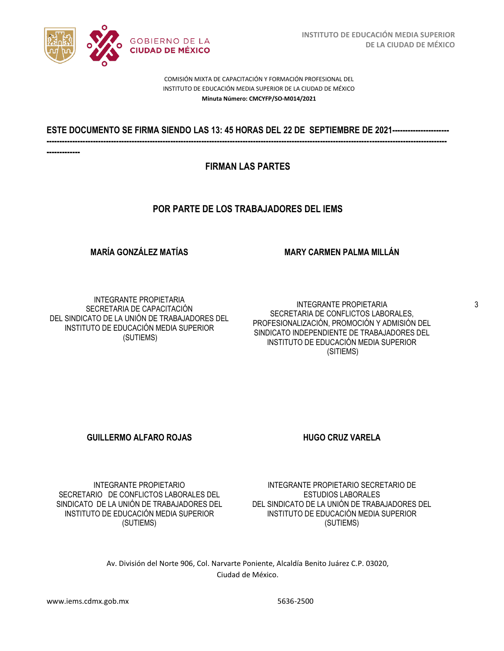

COMISIÓN MIXTA DE CAPACITACIÓN Y FORMACIÓN PROFESIONAL DEL INSTITUTO DE EDUCACIÓN MEDIA SUPERIOR DE LA CIUDAD DE MÉXICO **Minuta Número: CMCYFP/SO-M014/2021**

## /2020 **ESTE DOCUMENTO SE FIRMA SIENDO LAS 13: 45 HORAS DEL 22 DE SEPTIEMBRE DE 2021---------------------- -----------------------------------------------------------------------------------------------------------------------------------------------------------**

**-------------**

## **FIRMAN LAS PARTES**

## **POR PARTE DE LOS TRABAJADORES DEL IEMS**

### **MARÍA GONZÁLEZ MATÍAS**

### **MARY CARMEN PALMA MILLÁN**

INTEGRANTE PROPIETARIA SECRETARIA DE CAPACITACIÓN DEL SINDICATO DE LA UNIÓN DE TRABAJADORES DEL INSTITUTO DE EDUCACIÓN MEDIA SUPERIOR (SUTIEMS)

INTEGRANTE PROPIETARIA SECRETARIA DE CONFLICTOS LABORALES, PROFESIONALIZACIÓN, PROMOCIÓN Y ADMISIÓN DEL SINDICATO INDEPENDIENTE DE TRABAJADORES DEL INSTITUTO DE EDUCACIÓN MEDIA SUPERIOR (SITIEMS)

### **GUILLERMO ALFARO ROJAS HUGO CRUZ VARELA**

INTEGRANTE PROPIETARIO SECRETARIO DE CONFLICTOS LABORALES DEL SINDICATO DE LA UNIÓN DE TRABAJADORES DEL INSTITUTO DE EDUCACIÓN MEDIA SUPERIOR (SUTIEMS)

INTEGRANTE PROPIETARIO SECRETARIO DE ESTUDIOS LABORALES DEL SINDICATO DE LA UNIÓN DE TRABAJADORES DEL INSTITUTO DE EDUCACIÓN MEDIA SUPERIOR (SUTIEMS)

Av. División del Norte 906, Col. Narvarte Poniente, Alcaldía Benito Juárez C.P. 03020, Ciudad de México.